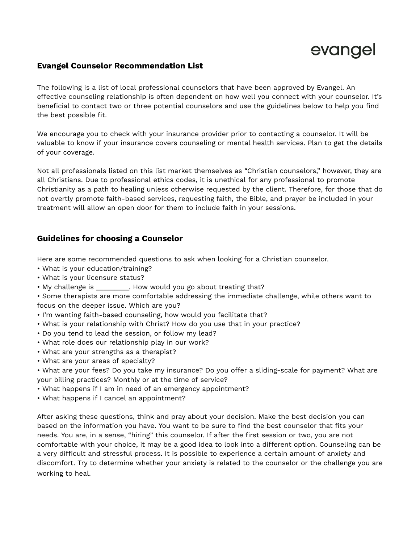

## **Evangel Counselor Recommendation List**

The following is a list of local professional counselors that have been approved by Evangel. An effective counseling relationship is often dependent on how well you connect with your counselor. It's beneficial to contact two or three potential counselors and use the guidelines below to help you find the best possible fit.

We encourage you to check with your insurance provider prior to contacting a counselor. It will be valuable to know if your insurance covers counseling or mental health services. Plan to get the details of your coverage.

Not all professionals listed on this list market themselves as "Christian counselors," however, they are all Christians. Due to professional ethics codes, it is unethical for any professional to promote Christianity as a path to healing unless otherwise requested by the client. Therefore, for those that do not overtly promote faith-based services, requesting faith, the Bible, and prayer be included in your treatment will allow an open door for them to include faith in your sessions.

## **Guidelines for choosing a Counselor**

Here are some recommended questions to ask when looking for a Christian counselor.

- What is your education/training?
- What is your licensure status?
- My challenge is extending that the How would you go about treating that?
- Some therapists are more comfortable addressing the immediate challenge, while others want to focus on the deeper issue. Which are you?
- I'm wanting faith-based counseling, how would you facilitate that?
- What is your relationship with Christ? How do you use that in your practice?
- Do you tend to lead the session, or follow my lead?
- What role does our relationship play in our work?
- What are your strengths as a therapist?
- What are your areas of specialty?
- What are your fees? Do you take my insurance? Do you offer a sliding-scale for payment? What are your billing practices? Monthly or at the time of service?
- What happens if I am in need of an emergency appointment?
- What happens if I cancel an appointment?

After asking these questions, think and pray about your decision. Make the best decision you can based on the information you have. You want to be sure to find the best counselor that fits your needs. You are, in a sense, "hiring" this counselor. If after the first session or two, you are not comfortable with your choice, it may be a good idea to look into a different option. Counseling can be a very difficult and stressful process. It is possible to experience a certain amount of anxiety and discomfort. Try to determine whether your anxiety is related to the counselor or the challenge you are working to heal.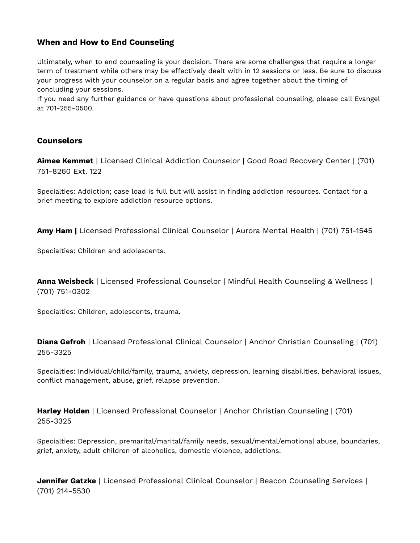## **When and How to End Counseling**

Ultimately, when to end counseling is your decision. There are some challenges that require a longer term of treatment while others may be effectively dealt with in 12 sessions or less. Be sure to discuss your progress with your counselor on a regular basis and agree together about the timing of concluding your sessions.

If you need any further guidance or have questions about professional counseling, please call Evangel at 701-255-0500.

## **Counselors**

**Aimee Kemmet** | Licensed Clinical Addiction Counselor | Good Road Recovery Center | (701) 751-8260 Ext. 122

Specialties: Addiction; case load is full but will assist in finding addiction resources. Contact for a brief meeting to explore addiction resource options.

**Amy Ham |** Licensed Professional Clinical Counselor | Aurora Mental Health | (701) 751-1545

Specialties: Children and adolescents.

**Anna Weisbeck** | Licensed Professional Counselor | Mindful Health Counseling & Wellness | (701) 751-0302

Specialties: Children, adolescents, trauma.

**Diana Gefroh** | Licensed Professional Clinical Counselor | Anchor Christian Counseling | (701) 255-3325

Specialties: Individual/child/family, trauma, anxiety, depression, learning disabilities, behavioral issues, conflict management, abuse, grief, relapse prevention.

**Harley Holden** | Licensed Professional Counselor | Anchor Christian Counseling | (701) 255-3325

Specialties: Depression, premarital/marital/family needs, sexual/mental/emotional abuse, boundaries, grief, anxiety, adult children of alcoholics, domestic violence, addictions.

**Jennifer Gatzke** | Licensed Professional Clinical Counselor | Beacon Counseling Services | (701) 214-5530